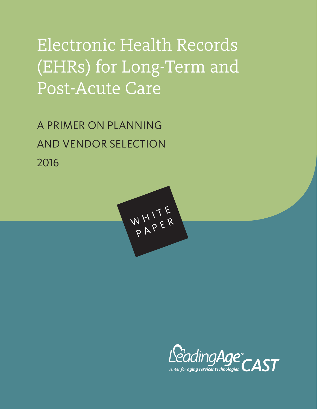# Electronic Health Records (EHRs) for Long-Term and Post-Acute Care

A PRIMER ON PLANNING AND VENDOR SELECTION 2016



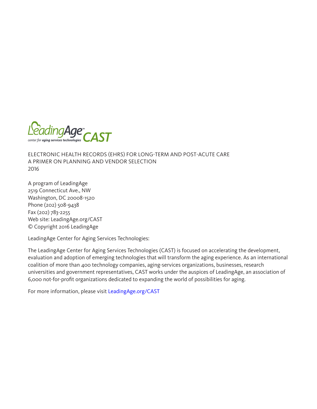

ELECTRONIC HEALTH RECORDS (EHRS) FOR LONG-TERM AND POST-ACUTE CARE A PRIMER ON PLANNING AND VENDOR SELECTION 2016

A program of LeadingAge 2519 Connecticut Ave., NW Washington, DC 20008-1520 Phone (202) 508-9438 Fax (202) 783-2255 Web site: LeadingAge.org/CAST © Copyright 2016 LeadingAge

LeadingAge Center for Aging Services Technologies:

The LeadingAge Center for Aging Services Technologies (CAST) is focused on accelerating the development, evaluation and adoption of emerging technologies that will transform the aging experience. As an international coalition of more than 400 technology companies, aging-services organizations, businesses, research universities and government representatives, CAST works under the auspices of LeadingAge, an association of 6,000 not-for-profit organizations dedicated to expanding the world of possibilities for aging.

For more information, please visit [LeadingAge.org/CAST](http://www.LeadingAge.org/CAST)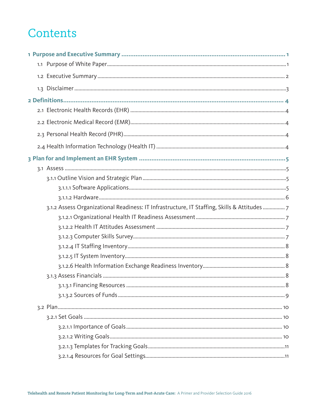## Contents

| 3.1.2 Assess Organizational Readiness: IT Infrastructure, IT Staffing, Skills & Attitudes 7 |  |
|---------------------------------------------------------------------------------------------|--|
|                                                                                             |  |
|                                                                                             |  |
|                                                                                             |  |
|                                                                                             |  |
|                                                                                             |  |
|                                                                                             |  |
|                                                                                             |  |
|                                                                                             |  |
|                                                                                             |  |
|                                                                                             |  |
|                                                                                             |  |
|                                                                                             |  |
|                                                                                             |  |
|                                                                                             |  |
|                                                                                             |  |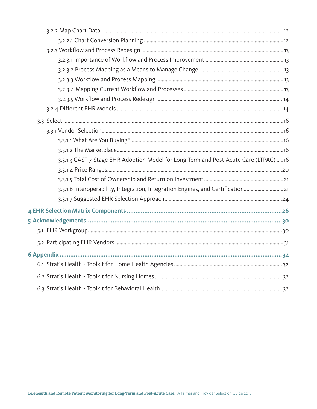| 3.3.1.3 CAST 7-Stage EHR Adoption Model for Long-Term and Post-Acute Care (LTPAC) 16 |  |
|--------------------------------------------------------------------------------------|--|
|                                                                                      |  |
|                                                                                      |  |
| 3.3.1.6 Interoperability, Integration, Integration Engines, and Certification21      |  |
|                                                                                      |  |
|                                                                                      |  |
|                                                                                      |  |
|                                                                                      |  |
|                                                                                      |  |
|                                                                                      |  |
|                                                                                      |  |
|                                                                                      |  |
|                                                                                      |  |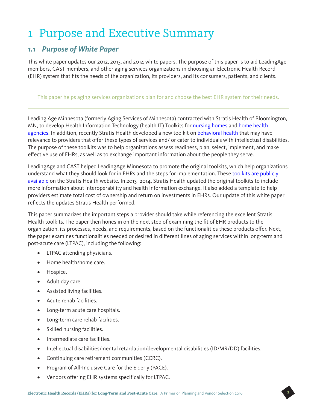## 1 Purpose and Executive Summary

## *1.1 Purpose of White Paper*

This white paper updates our 2012, 2013, and 2014 white papers. The purpose of this paper is to aid LeadingAge members, CAST members, and other aging services organizations in choosing an Electronic Health Record (EHR) system that fits the needs of the organization, its providers, and its consumers, patients, and clients.

#### This paper helps aging services organizations plan for and choose the best EHR system for their needs.

Leading Age Minnesota (formerly Aging Services of Minnesota) contracted with Stratis Health of Bloomington, MN, to develop Health Information Technology (health IT) Toolkits for [nursing homes](http://www.stratishealth.org/expertise/healthit/nursinghomes/nhtoolkit.html) and [home health](http://www.stratishealth.org/expertise/healthit/homehealth/hhtoolkit.html)  [agencies](http://www.stratishealth.org/expertise/healthit/homehealth/hhtoolkit.html). In addition, recently Stratis Health developed a new toolkit on [behavioral health](http://www.stratishealth.org/expertise/healthit/behavioralhealth/index.html) that may have relevance to providers that offer these types of services and/ or cater to individuals with intellectual disabilities. The purpose of these toolkits was to help organizations assess readiness, plan, select, implement, and make effective use of EHRs, as well as to exchange important information about the people they serve.

LeadingAge and CAST helped LeadingAge Minnesota to promote the original toolkits, which help organizations understand what they should look for in EHRs and the steps for implementation. These [toolkits are publicly](http://www.stratishealth.org/expertise/healthit/)  [available](http://www.stratishealth.org/expertise/healthit/) on the Stratis Health website. In 2013 -2014, Stratis Health updated the original toolkits to include more information about interoperability and health information exchange. It also added a template to help providers estimate total cost of ownership and return on investments in EHRs. Our update of this white paper reflects the updates Stratis Health performed.

This paper summarizes the important steps a provider should take while referencing the excellent Stratis Health toolkits. The paper then hones in on the next step of examining the fit of EHR products to the organization, its processes, needs, and requirements, based on the functionalities these products offer. Next, the paper examines functionalities needed or desired in different lines of aging services within long-term and post-acute care (LTPAC), including the following:

- LTPAC attending physicians.
- Home health/home care.
- Hospice.
- Adult day care.
- Assisted living facilities.
- Acute rehab facilities.
- Long-term acute care hospitals.
- Long-term care rehab facilities.
- Skilled nursing facilities.
- Intermediate care facilities.
- Intellectual disabilities/mental retardation/developmental disabilities (ID/MR/DD) facilities.
- Continuing care retirement communities (CCRC).
- Program of All-Inclusive Care for the Elderly (PACE).
- Vendors offering EHR systems specifically for LTPAC.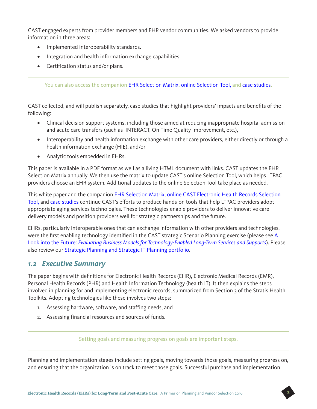CAST engaged experts from provider members and EHR vendor communities. We asked vendors to provide information in three areas:

- Implemented interoperability standards.
- Integration and health information exchange capabilities.
- Certification status and/or plans.

You can also access the companion [EHR Selection Matrix](http://www.leadingage.org/uploadedFiles/Content/Centers/CAST/Technology_Selection_Tools/EHR_Matrix.pdf), [online Selection Tool](http://www.leadingage.org/ehr/search.aspx), and [case studies](http://www.leadingage.org/uploadedFiles/Content/Centers/CAST/Technology_Selection_Tools/2015_EHR_Case_Studies.pdf).

CAST collected, and will publish separately, case studies that highlight providers' impacts and benefits of the following:

- Clinical decision support systems, including those aimed at reducing inappropriate hospital admission and acute care transfers (such as INTERACT, On-Time Quality Improvement, etc.),
- Interoperability and health information exchange with other care providers, either directly or through a health information exchange (HIE), and/or
- Analytic tools embedded in EHRs.

This paper is available in a PDF format as well as a living HTML document with links. CAST updates the EHR Selection Matrix annually. We then use the matrix to update CAST's online Selection Tool, which helps LTPAC providers choose an EHR system. Additional updates to the online Selection Tool take place as needed.

This white paper and the companion [EHR Selection Matrix,](http://www.leadingage.org/uploadedFiles/Content/Centers/CAST/Technology_Selection_Tools/EHR_Matrix.pdf) [online CAST Electronic Health Records Selection](http://www.leadingage.org/ehr/search.aspx)  [Tool](http://www.leadingage.org/ehr/search.aspx), and [case studies](http://www.leadingage.org/uploadedFiles/Content/Centers/CAST/Technology_Selection_Tools/2015_EHR_Case_Studies.pdf) continue CAST's efforts to produce hands-on tools that help LTPAC providers adopt appropriate aging services technologies. These technologies enable providers to deliver innovative care delivery models and position providers well for strategic partnerships and the future.

EHRs, particularly interoperable ones that can exchange information with other providers and technologies, were the first enabling technology identified in the CAST strategic Scenario Planning exercise (please see [A](http://www.leadingage.org/uploadedFiles/Content/About/CAST/CAST_Scenario_Planning.pdf)  Look into the Future: *[Evaluating Business Models for Technology-Enabled Long-Term Services and Supports](http://www.leadingage.org/uploadedFiles/Content/About/CAST/CAST_Scenario_Planning.pdf)*). Please also review our [Strategic Planning and Strategic IT Planning portfolio](http://www.leadingage.org/StrategicITPlanning.aspx).

### *1.2 Executive Summary*

The paper begins with definitions for Electronic Health Records (EHR), Electronic Medical Records (EMR), Personal Health Records (PHR) and Health Information Technology (health IT). It then explains the steps involved in planning for and implementing electronic records, summarized from Section 3 of the Stratis Health Toolkits. Adopting technologies like these involves two steps:

- 1. Assessing hardware, software, and staffing needs, and
- 2. Assessing financial resources and sources of funds.

#### Setting goals and measuring progress on goals are important steps.

Planning and implementation stages include setting goals, moving towards those goals, measuring progress on, and ensuring that the organization is on track to meet those goals. Successful purchase and implementation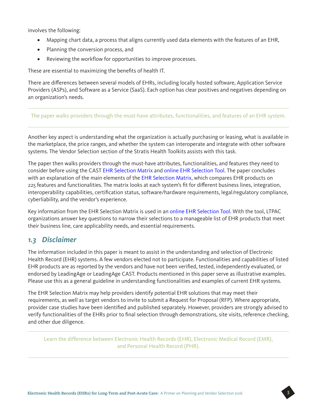involves the following:

- Mapping chart data, a process that aligns currently used data elements with the features of an EHR,
- Planning the conversion process, and
- Reviewing the workflow for opportunities to improve processes.

These are essential to maximizing the benefits of health IT.

There are differences between several models of EHRs, including locally hosted software, Application Service Providers (ASPs), and Software as a Service (SaaS). Each option has clear positives and negatives depending on an organization's needs.

The paper walks providers through the must-have attributes, functionalities, and features of an EHR system.

Another key aspect is understanding what the organization is actually purchasing or leasing, what is available in the marketplace, the price ranges, and whether the system can interoperate and integrate with other software systems. The Vendor Selection section of the Stratis Health Toolkits assists with this task.

The paper then walks providers through the must-have attributes, functionalities, and features they need to consider before using the CAST [EHR Selection Matrix](http://www.leadingage.org/uploadedFiles/Content/Centers/CAST/Technology_Selection_Tools/EHR_Matrix.pdf) and [online EHR Selection Tool.](http://www.leadingage.org/ehr/search.aspx) The paper concludes with an explanation of the main elements of the [EHR Selection Matrix](http://www.leadingage.org/uploadedFiles/Content/Centers/CAST/Technology_Selection_Tools/EHR_Matrix.pdf), which compares EHR products on 225 features and functionalities. The matrix looks at each system's fit for different business lines, integration, interoperability capabilities, certification status, software/hardware requirements, legal/regulatory compliance, cyberliability, and the vendor's experience.

Key information from the EHR Selection Matrix is used in an [online EHR Selection Tool.](http://www.leadingage.org/ehr/search.aspx) With the tool, LTPAC organizations answer key questions to narrow their selections to a manageable list of EHR products that meet their business line, care applicability needs, and essential requirements.

### *1.3 Disclaimer*

The information included in this paper is meant to assist in the understanding and selection of Electronic Health Record (EHR) systems. A few vendors elected not to participate. Functionalities and capabilities of listed EHR products are as reported by the vendors and have not been verified, tested, independently evaluated, or endorsed by LeadingAge or LeadingAge CAST. Products mentioned in this paper serve as illustrative examples. Please use this as a general guideline in understanding functionalities and examples of current EHR systems.

The EHR Selection Matrix may help providers identify potential EHR solutions that may meet their requirements, as well as target vendors to invite to submit a Request for Proposal (RFP). Where appropriate, provider case studies have been identified and published separately. However, providers are strongly advised to verify functionalities of the EHRs prior to final selection through demonstrations, site visits, reference checking, and other due diligence.

Learn the difference between Electronic Health Records (EHR), Electronic Medical Record (EMR), and Personal Health Record (PHR).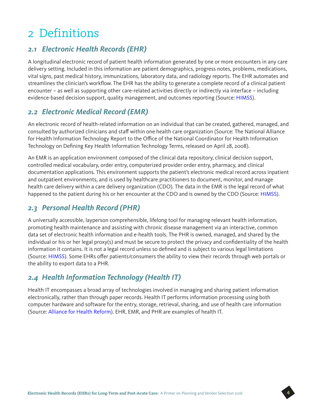## 2 Definitions

## *2.1 Electronic Health Records (EHR)*

A longitudinal electronic record of patient health information generated by one or more encounters in any care delivery setting. Included in this information are patient demographics, progress notes, problems, medications, vital signs, past medical history, immunizations, laboratory data, and radiology reports. The EHR automates and streamlines the clinician's workflow. The EHR has the ability to generate a complete record of a clinical patient encounter – as well as supporting other care-related activities directly or indirectly via interface – including evidence-based decision support, quality management, and outcomes reporting (Source: [HIMSS\)](http://www.himss.org/ASP/topics_ehr.asp).

## *2.2 Electronic Medical Record (EMR)*

An electronic record of health-related information on an individual that can be created, gathered, managed, and consulted by authorized clinicians and staff within one health care organization (Source: The National Alliance for Health Information Technology Report to the Office of the National Coordinator for Health Information Technology on Defining Key Health Information Technology Terms, released on April 28, 2008).

An EMR is an application environment composed of the clinical data repository, clinical decision support, controlled medical vocabulary, order entry, computerized provider order entry, pharmacy, and clinical documentation applications. This environment supports the patient's electronic medical record across inpatient and outpatient environments, and is used by healthcare practitioners to document, monitor, and manage health care delivery within a care delivery organization (CDO). The data in the EMR is the legal record of what happened to the patient during his or her encounter at the CDO and is owned by the CDO (Source: [HIMSS\)](https://app.himssanalytics.org/docs/WP_EMR_EHR.pdf).

### *2.3 Personal Health Record (PHR)*

A universally accessible, layperson comprehensible, lifelong tool for managing relevant health information, promoting health maintenance and assisting with chronic disease management via an interactive, common data set of electronic health information and e-health tools. The PHR is owned, managed, and shared by the individual or his or her legal proxy(s) and must be secure to protect the privacy and confidentiality of the health information it contains. It is not a legal record unless so defined and is subject to various legal limitations (Source: [HIMSS\)](https://app.himssanalytics.org/docs/WP_EMR_EHR.pdf). Some EHRs offer patients/consumers the ability to view their records through web portals or the ability to export data to a PHR.

## *2.4 Health Information Technology (Health IT)*

Health IT encompasses a broad array of technologies involved in managing and sharing patient information electronically, rather than through paper records. Health IT performs information processing using both computer hardware and software for the entry, storage, retrieval, sharing, and use of health care information (Source: [Alliance for Health Reform](http://www.allhealth.org/publications/health_information_technology/health_information_technology_bb.asp)). EHR, EMR, and PHR are examples of health IT.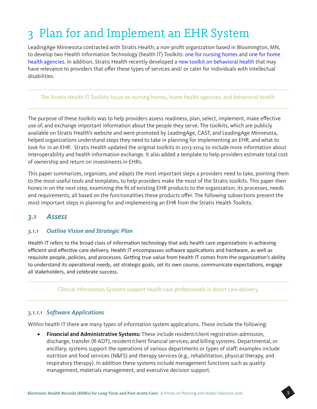## 3 Plan for and Implement an EHR System

LeadingAge Minnesota contracted with Stratis Health, a non-profit organization based in Bloomington, MN, to develop two Health Information Technology (health IT) Toolkits: [one for nursing homes](http://www.stratishealth.org/expertise/healthit/nursinghomes/nhtoolkit.html) and [one for home](http://www.stratishealth.org/expertise/healthit/homehealth/hhtoolkit.html)  [health agencies.](http://www.stratishealth.org/expertise/healthit/homehealth/hhtoolkit.html) In addition, Stratis Health recently developed a [new toolkit on behavioral health](http://www.stratishealth.org/expertise/healthit/behavioralhealth/index.html) that may have relevance to providers that offer these types of services and/ or cater for individuals with intellectual disabilities.

#### The Stratis Health IT Toolkits focus on nursing homes, home health agencies, and behavioral health.

The purpose of these toolkits was to help providers assess readiness, plan, select, implement, make effective use of, and exchange important information about the people they serve. The toolkits, which are publicly available on Stratis Health's website and were promoted by LeadingAge, CAST, and LeadingAge Minnesota, helped organizations understand steps they need to take in planning for implementing an EHR, and what to look for in an EHR. Stratis Health updated the original toolkits in 2013-2014 to include more information about interoperability and health information exchange. It also added a template to help providers estimate total cost of ownership and return on investments in EHRs.

This paper summarizes, organizes, and adapts the most important steps a providers need to take, pointing them to the most useful tools and templates, to help providers make the most of the Stratis toolkits. This paper then hones in on the next step, examining the fit of existing EHR products to the organization, its processes, needs and requirements, all based on the functionalities these products offer. The following subsections present the most important steps in planning for and implementing an EHR from the Stratis Health Toolkits.

#### *3.1 Assess*

#### *3.1.1 Outline Vision and Strategic Plan*

Health IT refers to the broad class of information technology that aids health care organizations in achieving efficient and effective care delivery. Health IT encompasses software applications and hardware, as well as requisite people, policies, and processes. Getting true value from health IT comes from the organization's ability to understand its operational needs, set strategic goals, set its own course, communicate expectations, engage all stakeholders, and celebrate success.

Clinical Information Systems support health care professionals in direct care delivery.

#### *3.1.1.1 Software Applications*

Within health IT there are many types of information system applications. These include the following:

• **Financial and Administrative Systems:** These include resident/client registration-admission, discharge, transfer (R-ADT), resident/client financial services, and billing systems. Departmental, or ancillary, systems support the operations of various departments or types of staff; examples include nutrition and food services (N&FS) and therapy services (e.g., rehabilitation, physical therapy, and respiratory therapy). In addition these systems include management functions such as quality management, materials management, and executive decision support.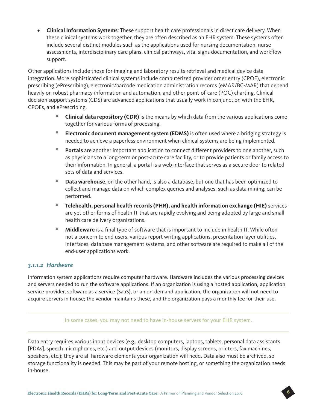• **Clinical Information Systems**: These support health care professionals in direct care delivery. When these clinical systems work together, they are often described as an EHR system. These systems often include several distinct modules such as the applications used for nursing documentation, nurse assessments, interdisciplinary care plans, clinical pathways, vital signs documentation, and workflow support.

Other applications include those for imaging and laboratory results retrieval and medical device data integration. More sophisticated clinical systems include computerized provider order entry (CPOE), electronic prescribing (ePrescribing), electronic/barcode medication administration records (eMAR/BC-MAR) that depend heavily on robust pharmacy information and automation, and other point-of-care (POC) charting. Clinical decision support systems (CDS) are advanced applications that usually work in conjunction with the EHR, CPOEs, and ePrescribing.

- º **Clinical data repository (CDR)** is the means by which data from the various applications come together for various forms of processing.
- º **Electronic document management system (EDMS)** is often used where a bridging strategy is needed to achieve a paperless environment when clinical systems are being implemented.
- º **Portals** are another important application to connect different providers to one another, such as physicians to a long-term or post-acute care facility, or to provide patients or family access to their information. In general, a portal is a web interface that serves as a secure door to related sets of data and services.
- º **Data warehouse**, on the other hand, is also a database, but one that has been optimized to collect and manage data on which complex queries and analyses, such as data mining, can be performed.
- º **Telehealth, personal health records (PHR), and health information exchange (HIE)** services are yet other forms of health IT that are rapidly evolving and being adopted by large and small health care delivery organizations.
- º **Middleware** is a final type of software that is important to include in health IT. While often not a concern to end users, various report writing applications, presentation layer utilities, interfaces, database management systems, and other software are required to make all of the end-user applications work.

#### *3.1.1.2 Hardware*

Information system applications require computer hardware. Hardware includes the various processing devices and servers needed to run the software applications. If an organization is using a hosted application, application service provider, software as a service (SaaS), or an on-demand application, the organization will not need to acquire servers in house; the vendor maintains these, and the organization pays a monthly fee for their use.

In some cases, you may not need to have in-house servers for your EHR system.

Data entry requires various input devices (e.g., desktop computers, laptops, tablets, personal data assistants [PDAs], speech microphones, etc.) and output devices (monitors, display screens, printers, fax machines, speakers, etc.); they are all hardware elements your organization will need. Data also must be archived, so storage functionality is needed. This may be part of your remote hosting, or something the organization needs in-house.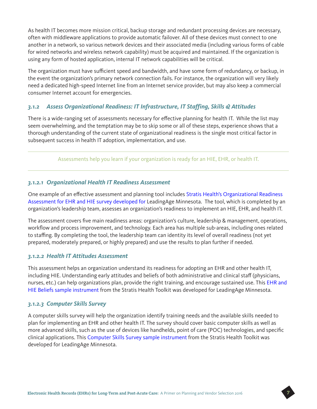As health IT becomes more mission critical, backup storage and redundant processing devices are necessary, often with middleware applications to provide automatic failover. All of these devices must connect to one another in a network, so various network devices and their associated media (including various forms of cable for wired networks and wireless network capability) must be acquired and maintained. If the organization is using any form of hosted application, internal IT network capabilities will be critical.

The organization must have sufficient speed and bandwidth, and have some form of redundancy, or backup, in the event the organization's primary network connection fails. For instance, the organization will very likely need a dedicated high-speed Internet line from an Internet service provider, but may also keep a commercial consumer Internet account for emergencies.

#### *3.1.2 Assess Organizational Readiness: IT Infrastructure, IT Staffing, Skills & Attitudes*

There is a wide-ranging set of assessments necessary for effective planning for health IT. While the list may seem overwhelming, and the temptation may be to skip some or all of these steps, experience shows that a thorough understanding of the current state of organizational readiness is the single most critical factor in subsequent success in health IT adoption, implementation, and use.

Assessments help you learn if your organization is ready for an HIE, EHR, or health IT.

#### *3.1.2.1 Organizational Health IT Readiness Assessment*

One example of an effective assessment and planning tool includes [Stratis Health's Organizational Readiness](http://www.stratishealth.org/documents/healthit/homehealth/1.Assess/1-organizational-readiness-assessment-EHR-HIE.doc)  [Assessment for EHR and HIE survey](http://www.stratishealth.org/documents/healthit/homehealth/1.Assess/1-organizational-readiness-assessment-EHR-HIE.doc) developed for LeadingAge Minnesota. The tool, which is completed by an organization's leadership team, assesses an organization's readiness to implement an HIE, EHR, and health IT.

The assessment covers five main readiness areas: organization's culture, leadership & management, operations, workflow and process improvement, and technology. Each area has multiple sub-areas, including ones related to staffing. By completing the tool, the leadership team can identity its level of overall readiness (not yet prepared, moderately prepared, or highly prepared) and use the results to plan further if needed.

#### *3.1.2.2 Health IT Attitudes Assessment*

This assessment helps an organization understand its readiness for adopting an EHR and other health IT, including HIE. Understanding early attitudes and beliefs of both administrative and clinical staff (physicians, nurses, etc.) can help organizations plan, provide the right training, and encourage sustained use. This [EHR and](http://www.stratishealth.org/documents/healthit/homehealth/1.Assess/1-EHR-and-HIE-beliefs-assessment.doc)  [HIE Beliefs sample instrument](http://www.stratishealth.org/documents/healthit/homehealth/1.Assess/1-EHR-and-HIE-beliefs-assessment.doc) from the Stratis Health Toolkit was developed for LeadingAge Minnesota.

#### *3.1.2.3 Computer Skills Survey*

A computer skills survey will help the organization identify training needs and the available skills needed to plan for implementing an EHR and other health IT. The survey should cover basic computer skills as well as more advanced skills, such as the use of devices like handhelds, point of care (POC) technologies, and specific clinical applications. This [Computer Skills Survey sample instrument](http://www.stratishealth.org/documents/healthit/homehealth/1.Assess/1-computer-skills-survey.doc) from the Stratis Health Toolkit was developed for LeadingAge Minnesota.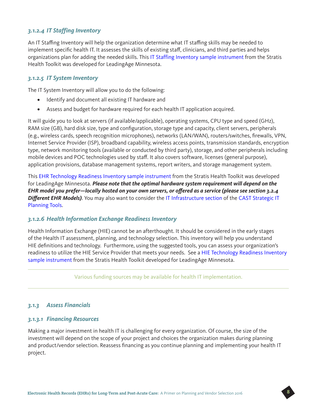#### *3.1.2.4 IT Staffing Inventory*

An IT Staffing Inventory will help the organization determine what IT staffing skills may be needed to implement specific health IT. It assesses the skills of existing staff, clinicians, and third parties and helps organizations plan for adding the needed skills. This [IT Staffing Inventory sample instrument](http://www.stratishealth.org/documents/healthit/homehealth/1.Assess/1-IT-staffing-inventory.doc) from the Stratis Health Toolkit was developed for LeadingAge Minnesota.

#### *3.1.2.5 IT System Inventory*

The IT System Inventory will allow you to do the following:

- Identify and document all existing IT hardware and
- Assess and budget for hardware required for each health IT application acquired.

It will guide you to look at servers (if available/applicable), operating systems, CPU type and speed (GHz), RAM size (GB), hard disk size, type and configuration, storage type and capacity, client servers, peripherals (e.g., wireless cards, speech recognition microphones), networks (LAN/WAN), routers/switches, firewalls, VPN, Internet Service Provider (ISP), broadband capability, wireless access points, transmission standards, encryption type, network monitoring tools (available or conducted by third party), storage, and other peripherals including mobile devices and POC technologies used by staff. It also covers software, licenses (general purpose), application provisions, database management systems, report writers, and storage management system.

This [EHR Technology Readiness Inventory sample instrument](http://www.stratishealth.org/documents/healthit/homehealth/1.Assess/1-EHR-technology-readiness-inventory.doc) from the Stratis Health Toolkit was developed for LeadingAge Minnesota. *Please note that the optimal hardware system requirement will depend on the EHR model you prefer—locally hosted on your own servers, or offered as a service (please see section 3.2.4 Different EHR Models)*. You may also want to consider the [IT Infrastructure section](http://www.leadingage.org/Strategic_Planning_Infrastructure.aspx) of the [CAST Strategic IT](http://www.leadingage.org/StrategicITPlanning.aspx)  [Planning Tools.](http://www.leadingage.org/StrategicITPlanning.aspx)

#### *3.1.2.6 Health Information Exchange Readiness Inventory*

Health Information Exchange (HIE) cannot be an afterthought. It should be considered in the early stages of the Health IT assessment, planning, and technology selection. This inventory will help you understand HIE definitions and technology. Furthermore, using the suggested tools, you can assess your organization's readiness to utilize the HIE Service Provider that meets your needs. See a [HIE Technology Readiness Inventory](http://www.stratishealth.org/documents/healthit/homehealth/1.Assess/1-HIE-technology-readiness-inventory.doc)  [sample instrument](http://www.stratishealth.org/documents/healthit/homehealth/1.Assess/1-HIE-technology-readiness-inventory.doc) from the Stratis Health Toolkit developed for LeadingAge Minnesota.

Various funding sources may be available for health IT implementation.

#### *3.1.3 Assess Financials*

#### *3.1.3.1 Financing Resources*

Making a major investment in health IT is challenging for every organization. Of course, the size of the investment will depend on the scope of your project and choices the organization makes during planning and product/vendor selection. Reassess financing as you continue planning and implementing your health IT project.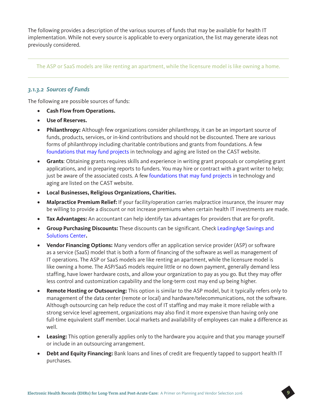The following provides a description of the various sources of funds that may be available for health IT implementation. While not every source is applicable to every organization, the list may generate ideas not previously considered.

The ASP or SaaS models are like renting an apartment, while the licensure model is like owning a home.

#### *3.1.3.2 Sources of Funds*

The following are possible sources of funds:

- **Cash Flow from Operations.**
- **Use of Reserves.**
- **Philanthropy:** Although few organizations consider philanthropy, it can be an important source of funds, products, services, or in-kind contributions and should not be discounted. There are various forms of philanthropy including charitable contributions and grants from foundations. A few [foundations that may fund projects](http://www.leadingage.org/Grants.aspx) in technology and aging are listed on the CAST website.
- **Grants**: Obtaining grants requires skills and experience in writing grant proposals or completing grant applications, and in preparing reports to funders. You may hire or contract with a grant writer to help; just be aware of the associated costs. A few [foundations that may fund projects](http://www.leadingage.org/Grants.aspx) in technology and aging are listed on the CAST website.
- **Local Businesses, Religious Organizations, Charities.**
- **Malpractice Premium Relief:** If your facility/operation carries malpractice insurance, the insurer may be willing to provide a discount or not increase premiums when certain health IT investments are made.
- **Tax Advantages:** An accountant can help identify tax advantages for providers that are for-profit.
- **Group Purchasing Discounts:** These discounts can be significant. Check [LeadingAge Savings and](http://www.leadingage.org/Savings_and_Solutions_Center.aspx)  [Solutions Center](http://www.leadingage.org/Savings_and_Solutions_Center.aspx)**.**
- **Vendor Financing Options:** Many vendors offer an application service provider (ASP) or software as a service (SaaS) model that is both a form of financing of the software as well as management of IT operations. The ASP or SaaS models are like renting an apartment, while the licensure model is like owning a home. The ASP/SaaS models require little or no down payment, generally demand less staffing, have lower hardware costs, and allow your organization to pay as you go. But they may offer less control and customization capability and the long-term cost may end up being higher.
- **Remote Hosting or Outsourcing:** This option is similar to the ASP model, but it typically refers only to management of the data center (remote or local) and hardware/telecommunications, not the software. Although outsourcing can help reduce the cost of IT staffing and may make it more reliable with a strong service level agreement, organizations may also find it more expensive than having only one full-time equivalent staff member. Local markets and availability of employees can make a difference as well.
- **Leasing:** This option generally applies only to the hardware you acquire and that you manage yourself or include in an outsourcing arrangement.
- **Debt and Equity Financing:** Bank loans and lines of credit are frequently tapped to support health IT purchases.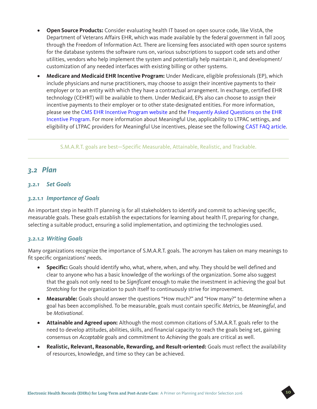- **Open Source Products:** Consider evaluating health IT based on open source code, like VistA, the Department of Veterans Affairs EHR, which was made available by the federal government in fall 2005 through the Freedom of Information Act. There are licensing fees associated with open source systems for the database systems the software runs on, various subscriptions to support code sets and other utilities, vendors who help implement the system and potentially help maintain it, and development/ customization of any needed interfaces with existing billing or other systems.
- **Medicare and Medicaid EHR Incentive Program:** Under Medicare, eligible professionals (EP), which include physicians and nurse practitioners, may choose to assign their incentive payments to their employer or to an entity with which they have a contractual arrangement. In exchange, certified EHR technology (CEHRT) will be available to them. Under Medicaid, EPs also can choose to assign their incentive payments to their employer or to other state-designated entities. For more information, please see the [CMS EHR Incentive Program website](http://www.cms.gov/Regulations-and-Guidance/Legislation/EHRIncentivePrograms/index.html?redirect=/EHRIncentivePrograms/) and the [Frequently Asked Questions on the EHR](https://questions.cms.gov/faq.php?id=5005&rtopic=1979)  [Incentive Program](https://questions.cms.gov/faq.php?id=5005&rtopic=1979). For more information about Meaningful Use, applicability to LTPAC settings, and eligibility of LTPAC providers for Meaningful Use incentives, please see the following [CAST FAQ article](http://www.leadingage.org/CAST_Frequently_Asked_Technology_Questions.aspx#Meaningful_Use).

S.M.A.R.T. goals are best—Specific Measurable, Attainable, Realistic, and Trackable.

#### *3.2 Plan*

#### *3.2.1 Set Goals*

#### *3.2.1.1 Importance of Goals*

An important step in health IT planning is for all stakeholders to identify and commit to achieving specific, measurable goals. These goals establish the expectations for learning about health IT, preparing for change, selecting a suitable product, ensuring a solid implementation, and optimizing the technologies used.

#### *3.2.1.2 Writing Goals*

Many organizations recognize the importance of S.M.A.R.T. goals. The acronym has taken on many meanings to fit specific organizations' needs.

- **Specific:** Goals should identify who, what, where, when, and why. They should be well defined and clear to anyone who has a basic knowledge of the workings of the organization. Some also suggest that the goals not only need to be *Significant* enough to make the investment in achieving the goal but *Stretching* for the organization to push itself to continuously strive for improvement.
- **Measurable:** Goals should answer the questions "How much?" and "How many?" to determine when a goal has been accomplished. To be measurable, goals must contain specific *Metrics*, be *Meaningful*, and be *Motivational*.
- **Attainable and Agreed upon:** Although the most common citations of S.M.A.R.T. goals refer to the need to develop attitudes, abilities, skills, and financial capacity to reach the goals being set, gaining consensus on *Acceptable* goals and commitment to *Achieving* the goals are critical as well.
- **Realistic, Relevant, Reasonable, Rewarding, and Result-oriented:** Goals must reflect the availability of resources, knowledge, and time so they can be achieved.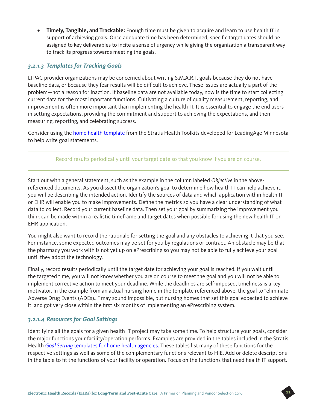• **Timely, Tangible, and Trackable:** Enough time must be given to acquire and learn to use health IT in support of achieving goals. Once adequate time has been determined, specific target dates should be assigned to key deliverables to incite a sense of urgency while giving the organization a transparent way to track its progress towards meeting the goals.

#### *3.2.1.3 Templates for Tracking Goals*

LTPAC provider organizations may be concerned about writing S.M.A.R.T. goals because they do not have baseline data, or because they fear results will be difficult to achieve. These issues are actually a part of the problem—not a reason for inaction. If baseline data are not available today, now is the time to start collecting current data for the most important functions. Cultivating a culture of quality measurement, reporting, and improvement is often more important than implementing the health IT. It is essential to engage the end users in setting expectations, providing the commitment and support to achieving the expectations, and then measuring, reporting, and celebrating success.

Consider using the [home health template](http://www.stratishealth.org/documents/healthit/homehealth/2.Plan/2-visioning-goal-setting-and-strategic-planning-for-EHR-and-HIE.doc) from the Stratis Health Toolkits developed for LeadingAge Minnesota to help write goal statements.

#### Record results periodically until your target date so that you know if you are on course.

Start out with a general statement, such as the example in the column labeled *Objective* in the abovereferenced documents. As you dissect the organization's goal to determine how health IT can help achieve it, you will be describing the intended action. Identify the sources of data and which application within health IT or EHR will enable you to make improvements. Define the metrics so you have a clear understanding of what data to collect. Record your current baseline data. Then set your goal by summarizing the improvement you think can be made within a realistic timeframe and target dates when possible for using the new health IT or EHR application.

You might also want to record the rationale for setting the goal and any obstacles to achieving it that you see. For instance, some expected outcomes may be set for you by regulations or contract. An obstacle may be that the pharmacy you work with is not yet up on ePrescribing so you may not be able to fully achieve your goal until they adopt the technology.

Finally, record results periodically until the target date for achieving your goal is reached. If you wait until the targeted time, you will not know whether you are on course to meet the goal and you will not be able to implement corrective action to meet your deadline. While the deadlines are self-imposed, timeliness is a key motivator. In the example from an actual nursing home in the template referenced above, the goal to "eliminate Adverse Drug Events (ADEs)…" may sound impossible, but nursing homes that set this goal expected to achieve it, and got very close within the first six months of implementing an ePrescribing system.

#### *3.2.1.4 Resources for Goal Settings*

Identifying all the goals for a given health IT project may take some time. To help structure your goals, consider the major functions your facility/operation performs. Examples are provided in the tables included in the Stratis Health *Goal Setting* [templates for home health agencies](http://www.stratishealth.org/documents/healthit/homehealth/2.Plan/2-visioning-goal-setting-and-strategic-planning-for-EHR-and-HIE.doc). These tables list many of these functions for the respective settings as well as some of the complementary functions relevant to HIE. Add or delete descriptions in the table to fit the functions of your facility or operation. Focus on the functions that need health IT support.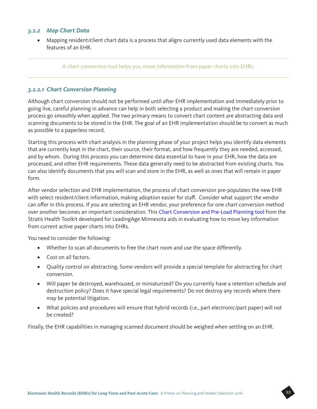#### *3.2.2 Map Chart Data*

• Mapping resident/client chart data is a process that aligns currently used data elements with the features of an EHR.

#### A chart conversion tool helps you move information from paper charts into EHRs.

#### *3.2.2.1 Chart Conversion Planning*

Although chart conversion should not be performed until after EHR implementation and immediately prior to going live, careful planning in advance can help in both selecting a product and making the chart conversion process go smoothly when applied. The two primary means to convert chart content are abstracting data and scanning documents to be stored in the EHR. The goal of an EHR implementation should be to convert as much as possible to a paperless record.

Starting this process with chart analysis in the planning phase of your project helps you identify data elements that are currently kept in the chart, their source, their format, and how frequently they are needed, accessed, and by whom. During this process you can determine data essential to have in your EHR, how the data are processed, and other EHR requirements. These data generally need to be abstracted from existing charts. You can also identify documents that you will scan and store in the EHR, as well as ones that will remain in paper form.

After vendor selection and EHR implementation, the process of chart conversion pre-populates the new EHR with select resident/client information, making adoption easier for staff. Consider what support the vendor can offer in this process. If you are selecting an EHR vendor, your preference for one chart conversion method over another becomes an important consideration. This [Chart Conversion and Pre-Load Planning tool](http://www.stratishealth.org/documents/healthit/nursinghomes/2.Plan/2-chart-conversion-and-pre-load-planning.doc) from the Stratis Health Toolkit developed for LeadingAge Minnesota aids in evaluating how to move key information from current active paper charts into EHRs.

You need to consider the following:

- Whether to scan all documents to free the chart room and use the space differently.
- Cost on all factors.
- Quality control on abstracting. Some vendors will provide a special template for abstracting for chart conversion.
- Will paper be destroyed, warehoused, or miniaturized? Do you currently have a retention schedule and destruction policy? Does it have special legal requirements? Do not destroy any records where there may be potential litigation.
- What policies and procedures will ensure that hybrid records (i.e., part electronic/part paper) will not be created?

Finally, the EHR capabilities in managing scanned document should be weighed when settling on an EHR.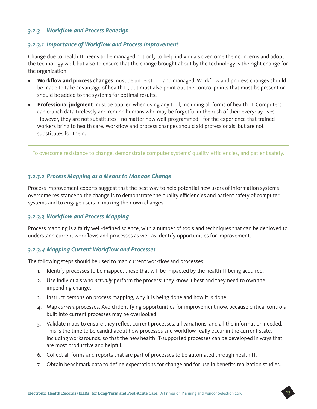#### *3.2.3 Workflow and Process Redesign*

#### *3.2.3.1 Importance of Workflow and Process Improvement*

Change due to health IT needs to be managed not only to help individuals overcome their concerns and adopt the technology well, but also to ensure that the change brought about by the technology is the right change for the organization.

- **Workflow and process changes** must be understood and managed. Workflow and process changes should be made to take advantage of health IT, but must also point out the control points that must be present or should be added to the systems for optimal results.
- **Professional judgment** must be applied when using any tool, including all forms of health IT. Computers can crunch data tirelessly and remind humans who may be forgetful in the rush of their everyday lives. However, they are not substitutes—no matter how well-programmed—for the experience that trained workers bring to health care. Workflow and process changes should aid professionals, but are not substitutes for them.

To overcome resistance to change, demonstrate computer systems' quality, efficiencies, and patient safety.

#### *3.2.3.2 Process Mapping as a Means to Manage Change*

Process improvement experts suggest that the best way to help potential new users of information systems overcome resistance to the change is to demonstrate the quality efficiencies and patient safety of computer systems and to engage users in making their own changes.

#### *3.2.3.3 Workflow and Process Mapping*

Process mapping is a fairly well-defined science, with a number of tools and techniques that can be deployed to understand current workflows and processes as well as identify opportunities for improvement.

#### *3.2.3.4 Mapping Current Workflow and Processes*

The following steps should be used to map current workflow and processes:

- 1. Identify processes to be mapped, those that will be impacted by the health IT being acquired.
- 2. Use individuals who *actually* perform the process; they know it best and they need to own the impending change.
- 3. Instruct persons on process mapping, why it is being done and how it is done.
- 4. Map *current* processes. Avoid identifying opportunities for improvement now, because critical controls built into current processes may be overlooked.
- 5. Validate maps to ensure they reflect current processes, all variations, and all the information needed. This is the time to be candid about how processes and workflow really occur in the current state, including workarounds, so that the new health IT-supported processes can be developed in ways that are most productive and helpful.
- 6. Collect all forms and reports that are part of processes to be automated through health IT.
- 7. Obtain benchmark data to define expectations for change and for use in benefits realization studies.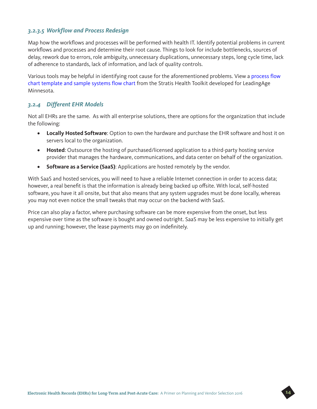#### *3.2.3.5 Workflow and Process Redesign*

Map how the workflows and processes will be performed with health IT. Identify potential problems in current workflows and processes and determine their root cause. Things to look for include bottlenecks, sources of delay, rework due to errors, role ambiguity, unnecessary duplications, unnecessary steps, long cycle time, lack of adherence to standards, lack of information, and lack of quality controls.

Various tools may be helpful in identifying root cause for the aforementioned problems. View a [process flow](http://www.stratishealth.org/documents/healthit/nursinghomes/2.Plan/2-workflow-and-process-redesign-for-EHR-and-HIE.doc)  [chart template and sample systems flow chart](http://www.stratishealth.org/documents/healthit/nursinghomes/2.Plan/2-workflow-and-process-redesign-for-EHR-and-HIE.doc) from the Stratis Health Toolkit developed for LeadingAge Minnesota.

#### *3.2.4 Different EHR Models*

Not all EHRs are the same. As with all enterprise solutions, there are options for the organization that include the following:

- **Locally Hosted Software**: Option to own the hardware and purchase the EHR software and host it on servers local to the organization.
- **Hosted**: Outsource the hosting of purchased/licensed application to a third-party hosting service provider that manages the hardware, communications, and data center on behalf of the organization.
- **Software as a Service (SaaS)**: Applications are hosted remotely by the vendor.

With SaaS and hosted services, you will need to have a reliable Internet connection in order to access data; however, a real benefit is that the information is already being backed up offsite. With local, self-hosted software, you have it all onsite, but that also means that any system upgrades must be done locally, whereas you may not even notice the small tweaks that may occur on the backend with SaaS.

Price can also play a factor, where purchasing software can be more expensive from the onset, but less expensive over time as the software is bought and owned outright. SaaS may be less expensive to initially get up and running; however, the lease payments may go on indefinitely.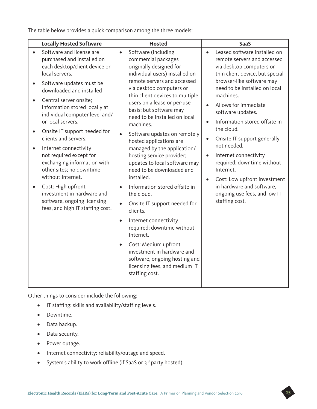The table below provides a quick comparison among the three models:

| <b>Locally Hosted Software</b>                                                                                                                                                                                                                                                                                                                                                                                                                                                                                                                                                                                                                                          | <b>Hosted</b>                                                                                                                                                                                                                                                                                                                                                                                                                                                                                                                                                                                                                                                                                                                                                                                                                                                                                           | <b>SaaS</b>                                                                                                                                                                                                                                                                                                                                                                                                                                                                                                                                                                                                      |
|-------------------------------------------------------------------------------------------------------------------------------------------------------------------------------------------------------------------------------------------------------------------------------------------------------------------------------------------------------------------------------------------------------------------------------------------------------------------------------------------------------------------------------------------------------------------------------------------------------------------------------------------------------------------------|---------------------------------------------------------------------------------------------------------------------------------------------------------------------------------------------------------------------------------------------------------------------------------------------------------------------------------------------------------------------------------------------------------------------------------------------------------------------------------------------------------------------------------------------------------------------------------------------------------------------------------------------------------------------------------------------------------------------------------------------------------------------------------------------------------------------------------------------------------------------------------------------------------|------------------------------------------------------------------------------------------------------------------------------------------------------------------------------------------------------------------------------------------------------------------------------------------------------------------------------------------------------------------------------------------------------------------------------------------------------------------------------------------------------------------------------------------------------------------------------------------------------------------|
| Software and license are<br>$\bullet$<br>purchased and installed on<br>each desktop/client device or<br>local servers.<br>Software updates must be<br>$\bullet$<br>downloaded and installed<br>Central server onsite;<br>$\bullet$<br>information stored locally at<br>individual computer level and/<br>or local servers.<br>Onsite IT support needed for<br>$\bullet$<br>clients and servers.<br>Internet connectivity<br>$\bullet$<br>not required except for<br>exchanging information with<br>other sites; no downtime<br>without Internet.<br>Cost: High upfront<br>investment in hardware and<br>software, ongoing licensing<br>fees, and high IT staffing cost. | Software (including<br>$\bullet$<br>commercial packages<br>originally designed for<br>individual users) installed on<br>remote servers and accessed<br>via desktop computers or<br>thin client devices to multiple<br>users on a lease or per-use<br>basis; but software may<br>need to be installed on local<br>machines.<br>Software updates on remotely<br>$\bullet$<br>hosted applications are<br>managed by the application/<br>hosting service provider;<br>updates to local software may<br>need to be downloaded and<br>installed.<br>Information stored offsite in<br>$\bullet$<br>the cloud.<br>Onsite IT support needed for<br>$\bullet$<br>clients.<br>Internet connectivity<br>$\bullet$<br>required; downtime without<br>Internet.<br>Cost: Medium upfront<br>$\bullet$<br>investment in hardware and<br>software, ongoing hosting and<br>licensing fees, and medium IT<br>staffing cost. | Leased software installed on<br>$\bullet$<br>remote servers and accessed<br>via desktop computers or<br>thin client device, but special<br>browser-like software may<br>need to be installed on local<br>machines.<br>Allows for immediate<br>$\bullet$<br>software updates.<br>Information stored offsite in<br>$\bullet$<br>the cloud.<br>Onsite IT support generally<br>$\bullet$<br>not needed.<br>Internet connectivity<br>$\bullet$<br>required; downtime without<br>Internet.<br>Cost: Low upfront investment<br>$\bullet$<br>in hardware and software,<br>ongoing use fees, and low IT<br>staffing cost. |

Other things to consider include the following:

- IT staffing: skills and availability/staffing levels.
- Downtime.
- Data backup.
- Data security.
- Power outage.
- Internet connectivity: reliability/outage and speed.
- System's ability to work offline (if SaaS or 3<sup>rd</sup> party hosted).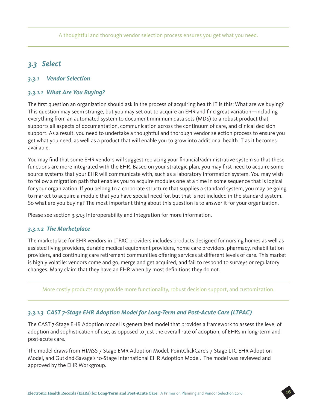A thoughtful and thorough vendor selection process ensures you get what you need.

#### *3.3 Select*

#### *3.3.1 Vendor Selection*

#### *3.3.1.1 What Are You Buying?*

The first question an organization should ask in the process of acquiring health IT is this: What are we buying? This question may seem strange, but you may set out to acquire an EHR and find great variation—including everything from an automated system to document minimum data sets (MDS) to a robust product that supports all aspects of documentation, communication across the continuum of care, and clinical decision support. As a result, you need to undertake a thoughtful and thorough vendor selection process to ensure you get what you need, as well as a product that will enable you to grow into additional health IT as it becomes available.

You may find that some EHR vendors will suggest replacing your financial/administrative system so that these functions are more integrated with the EHR. Based on your strategic plan, you may first need to acquire some source systems that your EHR will communicate with, such as a laboratory information system. You may wish to follow a migration path that enables you to acquire modules one at a time in some sequence that is logical for your organization. If you belong to a corporate structure that supplies a standard system, you may be going to market to acquire a module that you have special need for, but that is not included in the standard system. So what are you buying? The most important thing about this question is to answer it for your organization.

Please see section 3.3.1.5 Interoperability and Integration for more information.

#### *3.3.1.2 The Marketplace*

The marketplace for EHR vendors in LTPAC providers includes products designed for nursing homes as well as assisted living providers, durable medical equipment providers, home care providers, pharmacy, rehabilitation providers, and continuing care retirement communities offering services at different levels of care. This market is highly volatile: vendors come and go, merge and get acquired, and fail to respond to surveys or regulatory changes. Many claim that they have an EHR when by most definitions they do not.

More costly products may provide more functionality, robust decision support, and customization.

#### *3.3.1.3 CAST 7-Stage EHR Adoption Model for Long-Term and Post-Acute Care (LTPAC)*

The CAST 7-Stage EHR Adoption model is generalized model that provides a framework to assess the level of adoption and sophistication of use, as opposed to just the overall rate of adoption, of EHRs in long-term and post-acute care.

The model draws from HIMSS 7-Stage EMR Adoption Model, PointClickCare's 7-Stage LTC EHR Adoption Model, and Gutkind-Savage's 10-Stage International EHR Adoption Model. The model was reviewed and approved by the EHR Workgroup.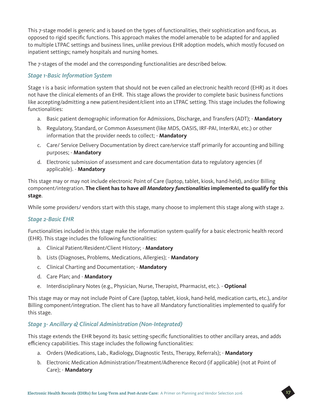This 7-stage model is generic and is based on the types of functionalities, their sophistication and focus, as opposed to rigid specific functions. This approach makes the model amenable to be adapted for and applied to multiple LTPAC settings and business lines, unlike previous EHR adoption models, which mostly focused on inpatient settings; namely hospitals and nursing homes.

The 7-stages of the model and the corresponding functionalities are described below.

#### *Stage 1-Basic Information System*

Stage 1 is a basic information system that should not be even called an electronic health record (EHR) as it does not have the clinical elements of an EHR. This stage allows the provider to complete basic business functions like accepting/admitting a new patient/resident/client into an LTPAC setting. This stage includes the following functionalities:

- a. Basic patient demographic information for Admissions, Discharge, and Transfers (ADT); **Mandatory**
- b. Regulatory, Standard, or Common Assessment (like MDS, OASIS, IRF-PAI, InterRAI, etc.) or other information that the provider needs to collect; - **Mandatory**
- c. Care/ Service Delivery Documentation by direct care/service staff primarily for accounting and billing purposes; - **Mandatory**
- d. Electronic submission of assessment and care documentation data to regulatory agencies (if applicable). - **Mandatory**

This stage may or may not include electronic Point of Care (laptop, tablet, kiosk, hand-held), and/or Billing component/integration. **The client has to have** *all Mandatory functionalities* **implemented to qualify for this stage**.

While some providers/ vendors start with this stage, many choose to implement this stage along with stage 2.

#### *Stage 2-Basic EHR*

Functionalities included in this stage make the information system qualify for a basic electronic health record (EHR). This stage includes the following functionalities:

- a. Clinical Patient/Resident/Client History; **Mandatory**
- b. Lists (Diagnoses, Problems, Medications, Allergies); **Mandatory**
- c. Clinical Charting and Documentation; **Mandatory**
- d. Care Plan; and **Mandatory**
- e. Interdisciplinary Notes (e.g., Physician, Nurse, Therapist, Pharmacist, etc.). **Optional**

This stage may or may not include Point of Care (laptop, tablet, kiosk, hand-held, medication carts, etc.), and/or Billing component/integration. The client has to have all Mandatory functionalities implemented to qualify for this stage.

#### *Stage 3- Ancillary & Clinical Administration (Non-Integrated)*

This stage extends the EHR beyond its basic setting-specific functionalities to other ancillary areas, and adds efficiency capabilities. This stage includes the following functionalities:

- a. Orders (Medications, Lab., Radiology, Diagnostic Tests, Therapy, Referrals); **Mandatory**
- b. Electronic Medication Administration/Treatment/Adherence Record (if applicable) (not at Point of Care); - **Mandatory**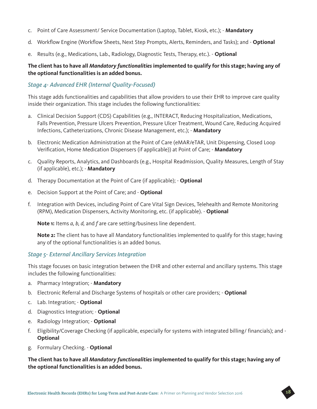- c. Point of Care Assessment/ Service Documentation (Laptop, Tablet, Kiosk, etc.); **Mandatory**
- d. Workflow Engine (Workflow Sheets, Next Step Prompts, Alerts, Reminders, and Tasks); and **Optional**
- e. Results (e.g., Medications, Lab., Radiology, Diagnostic Tests, Therapy, etc.). **Optional**

#### **The client has to have all** *Mandatory functionalities* **implemented to qualify for this stage; having any of the optional functionalities is an added bonus.**

#### *Stage 4- Advanced EHR (Internal Quality-Focused)*

This stage adds functionalities and capabilities that allow providers to use their EHR to improve care quality inside their organization. This stage includes the following functionalities:

- a. Clinical Decision Support (CDS) Capabilities (e.g., INTERACT, Reducing Hospitalization, Medications, Falls Prevention, Pressure Ulcers Prevention, Pressure Ulcer Treatment, Wound Care, Reducing Acquired Infections, Catheterizations, Chronic Disease Management, etc.); - **Mandatory**
- b. Electronic Medication Administration at the Point of Care (eMAR/eTAR, Unit Dispensing, Closed Loop Verification, Home Medication Dispensers (if applicable)) at Point of Care; - **Mandatory**
- c. Quality Reports, Analytics, and Dashboards (e.g., Hospital Readmission, Quality Measures, Length of Stay (if applicable), etc.); - **Mandatory**
- d. Therapy Documentation at the Point of Care (if applicable); **Optional**
- e. Decision Support at the Point of Care; and **Optional**
- f. Integration with Devices, including Point of Care Vital Sign Devices, Telehealth and Remote Monitoring (RPM), Medication Dispensers, Activity Monitoring, etc. (if applicable). - **Optional**

**Note 1:** Items *a, b, d,* and *f* are care setting/business line dependent.

**Note 2:** The client has to have all Mandatory functionalities implemented to qualify for this stage; having any of the optional functionalities is an added bonus.

#### *Stage 5- External Ancillary Services Integration*

This stage focuses on basic integration between the EHR and other external and ancillary systems. This stage includes the following functionalities:

- a. Pharmacy Integration; **Mandatory**
- b. Electronic Referral and Discharge Systems of hospitals or other care providers; **Optional**
- c. Lab. Integration; **Optional**
- d. Diagnostics Integration; **Optional**
- e. Radiology Integration; **Optional**
- f. Eligibility/Coverage Checking (if applicable, especially for systems with integrated billing/ financials); and **Optional**
- g. Formulary Checking. **Optional**

#### **The client has to have all** *Mandatory functionalities* **implemented to qualify for this stage; having any of the optional functionalities is an added bonus.**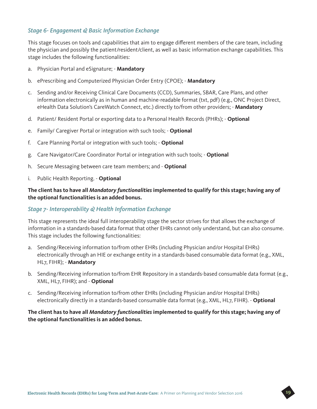#### *Stage 6- Engagement & Basic Information Exchange*

This stage focuses on tools and capabilities that aim to engage different members of the care team, including the physician and possibly the patient/resident/client, as well as basic information exchange capabilities. This stage includes the following functionalities:

- a. Physician Portal and eSignature; **Mandatory**
- b. ePrescribing and Computerized Physician Order Entry (CPOE); **Mandatory**
- c. Sending and/or Receiving Clinical Care Documents (CCD), Summaries, SBAR, Care Plans, and other information electronically as in human and machine-readable format (txt, pdf) (e.g., ONC Project Direct, eHealth Data Solution's CareWatch Connect, etc.) directly to/from other providers; - **Mandatory**
- d. Patient/ Resident Portal or exporting data to a Personal Health Records (PHRs); **Optional**
- e. Family/ Caregiver Portal or integration with such tools; **Optional**
- f. Care Planning Portal or integration with such tools; **Optional**
- g. Care Navigator/Care Coordinator Portal or integration with such tools; **Optional**
- h. Secure Messaging between care team members; and **Optional**
- i. Public Health Reporting. **Optional**

#### **The client has to have all** *Mandatory functionalities* **implemented to qualify for this stage; having any of the optional functionalities is an added bonus.**

#### *Stage 7- Interoperability & Health Information Exchange*

This stage represents the ideal full interoperability stage the sector strives for that allows the exchange of information in a standards-based data format that other EHRs cannot only understand, but can also consume. This stage includes the following functionalities:

- a. Sending/Receiving information to/from other EHRs (including Physician and/or Hospital EHRs) electronically through an HIE or exchange entity in a standards-based consumable data format (e.g., XML, HL7, FIHR); - **Mandatory**
- b. Sending/Receiving information to/from EHR Repository in a standards-based consumable data format (e.g., XML, HL7, FIHR); and - **Optional**
- c. Sending/Receiving information to/from other EHRs (including Physician and/or Hospital EHRs) electronically directly in a standards-based consumable data format (e.g., XML, HL7, FIHR). - **Optional**

#### **The client has to have all** *Mandatory functionalities* **implemented to qualify for this stage; having any of the optional functionalities is an added bonus.**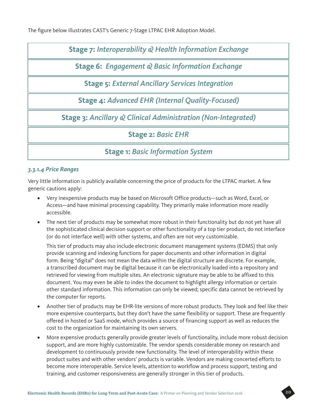The figure below illustrates CAST's Generic 7-Stage LTPAC EHR Adoption Model.

**Stage 7:** *Interoperability & Health Information Exchange*

**Stage 6:** *Engagement & Basic Information Exchange*

**Stage 5:** *External Ancillary Services Integration*

**Stage 4:** *Advanced EHR (Internal Quality-Focused)*

**Stage 3:** *Ancillary & Clinical Administration (Non-Integrated)*

**Stage 2:** *Basic EHR*

**Stage 1:** *Basic Information System*

#### *3.3.1.4 Price Ranges*

Very little information is publicly available concerning the price of products for the LTPAC market. A few generic cautions apply:

- Very inexpensive products may be based on Microsoft Office products—such as Word, Excel, or Access—and have minimal processing capability. They primarily make information more readily accessible.
- The next tier of products may be somewhat more robust in their functionality but do not yet have all the sophisticated clinical decision support or other functionality of a top tier product, do not interface (or do not interface well) with other systems, and often are not very customizable.

This tier of products may also include electronic document management systems (EDMS) that only provide scanning and indexing functions for paper documents and other information in digital form. Being "digital" does not mean the data within the digital structure are discrete. For example, a transcribed document may be digital because it can be electronically loaded into a repository and retrieved for viewing from multiple sites. An electronic signature may be able to be affixed to this document. You may even be able to index the document to highlight allergy information or certain other standard information. This information can only be viewed; specific data cannot be retrieved by the computer for reports.

- Another tier of products may be EHR-lite versions of more robust products. They look and feel like their more expensive counterparts, but they don't have the same flexibility or support. These are frequently offered in hosted or SaaS mode, which provides a source of financing support as well as reduces the cost to the organization for maintaining its own servers.
- More expensive products generally provide greater levels of functionality, include more robust decision support, and are more highly customizable. The vendor spends considerable money on research and development to continuously provide new functionality. The level of interoperability within these product suites and with other vendors' products is variable. Vendors are making concerted efforts to become more interoperable. Service levels, attention to workflow and process support, testing and training, and customer responsiveness are generally stronger in this tier of products.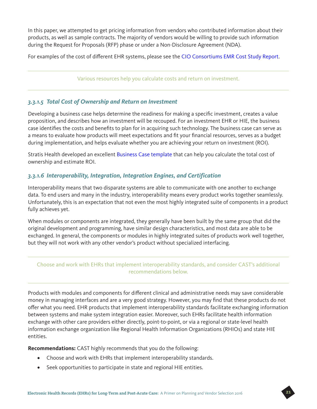In this paper, we attempted to get pricing information from vendors who contributed information about their products, as well as sample contracts. The majority of vendors would be willing to provide such information during the Request for Proposals (RFP) phase or under a Non-Disclosure Agreement (NDA).

For examples of the cost of different EHR systems, please see the [CIO Consortiums EMR Cost Study Report](http://www.leadingage.org/uploadedFiles/Content/About/CAST/Resources/CIO_Consortium_EMR_CostStudy.pdf).

Various resources help you calculate costs and return on investment.

#### *3.3.1.5 Total Cost of Ownership and Return on Investment*

Developing a business case helps determine the readiness for making a specific investment, creates a value proposition, and describes how an investment will be recouped. For an investment EHR or HIE, the business case identifies the costs and benefits to plan for in acquiring such technology. The business case can serve as a means to evaluate how products will meet expectations and fit your financial resources, serves as a budget during implementation, and helps evaluate whether you are achieving your return on investment (ROI).

Stratis Health developed an excellent [Business Case template](http://www.stratishealth.org/documents/healthit/nursinghomes/2.Plan/2-business-case-TCO-ROI.xls) that can help you calculate the total cost of ownership and estimate ROI.

#### *3.3.1.6 Interoperability, Integration, Integration Engines, and Certification*

Interoperability means that two disparate systems are able to communicate with one another to exchange data. To end users and many in the industry, interoperability means every product works together seamlessly. Unfortunately, this is an expectation that not even the most highly integrated suite of components in a product fully achieves yet.

When modules or components are integrated, they generally have been built by the same group that did the original development and programming, have similar design characteristics, and most data are able to be exchanged. In general, the components or modules in highly integrated suites of products work well together, but they will not work with any other vendor's product without specialized interfacing.

#### Choose and work with EHRs that implement interoperability standards, and consider CAST's additional recommendations below.

Products with modules and components for different clinical and administrative needs may save considerable money in managing interfaces and are a very good strategy. However, you may find that these products do not offer what you need. EHR products that implement interoperability standards facilitate exchanging information between systems and make system integration easier. Moreover, such EHRs facilitate health information exchange with other care providers either directly, point-to-point, or via a regional or state-level health information exchange organization like Regional Health Information Organizations (RHIOs) and state HIE entities.

**Recommendations:** CAST highly recommends that you do the following:

- Choose and work with EHRs that implement interoperability standards.
- Seek opportunities to participate in state and regional HIE entities.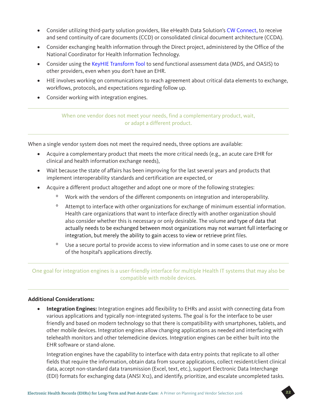- Consider utilizing third-party solution providers, like eHealth Data Solution's [CW Connect](https://www.ehds.biz/index.php/products-and-solutions/carewatch/cw-connect), to receive and send continuity of care documents (CCD) or consolidated clinical document architecture (CCDA).
- Consider exchanging health information through the Direct project, administered by the Office of the National Coordinator for Health Information Technology.
- Consider using the [KeyHIE Transform Tool](http://www.keyhie.org/products_services/keyhie_transform.html) to send functional assessment data (MDS, and OASIS) to other providers, even when you don't have an EHR.
- HIE involves working on communications to reach agreement about critical data elements to exchange, workflows, protocols, and expectations regarding follow up.
- Consider working with integration engines.

When one vendor does not meet your needs, find a complementary product, wait, or adapt a different product.

When a single vendor system does not meet the required needs, three options are available:

- Acquire a complementary product that meets the more critical needs (e.g., an acute care EHR for clinical and health information exchange needs),
- Wait because the state of affairs has been improving for the last several years and products that implement interoperability standards and certification are expected, or
- Acquire a different product altogether and adopt one or more of the following strategies:
	- º Work with the vendors of the different components on integration and interoperability.
	- <sup>o</sup> Attempt to interface with other organizations for exchange of minimum essential information. Health care organizations that want to interface directly with another organization should also consider whether this is necessary or only desirable. The volume and type of data that actually needs to be exchanged between most organizations may not warrant full interfacing or integration, but merely the ability to gain access to view or retrieve print files.
	- º Use a secure portal to provide access to view information and in some cases to use one or more of the hospital's applications directly.

One goal for integration engines is a user-friendly interface for multiple Health IT systems that may also be compatible with mobile devices.

#### **Additional Considerations:**

• **Integration Engines:** Integration engines add flexibility to EHRs and assist with connecting data from various applications and typically non-integrated systems. The goal is for the interface to be user friendly and based on modern technology so that there is compatibility with smartphones, tablets, and other mobile devices. Integration engines allow changing applications as needed and interfacing with telehealth monitors and other telemedicine devices. Integration engines can be either built into the EHR software or stand-alone.

Integration engines have the capability to interface with data entry points that replicate to all other fields that require the information, obtain data from source applications, collect resident/client clinical data, accept non-standard data transmission (Excel, text, etc.), support Electronic Data Interchange (EDI) formats for exchanging data (ANSI X12), and identify, prioritize, and escalate uncompleted tasks.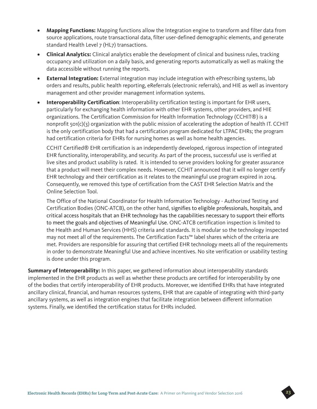- **Mapping Functions:** Mapping functions allow the Integration engine to transform and filter data from source applications, route transactional data, filter user-defined demographic elements, and generate standard Health Level 7 (HL7) transactions.
- **Clinical Analytics:** Clinical analytics enable the development of clinical and business rules, tracking occupancy and utilization on a daily basis, and generating reports automatically as well as making the data accessible without running the reports.
- **External Integration:** External integration may include integration with ePrescribing systems, lab orders and results, public health reporting, eReferrals (electronic referrals), and HIE as well as inventory management and other provider management information systems.
- **Interoperability Certification**: Interoperability certification testing is important for EHR users, particularly for exchanging health information with other EHR systems, other providers, and HIE organizations. The Certification Commission for Health Information Technology (CCHIT®) is a nonprofit 501(c)(3) organization with the public mission of accelerating the adoption of health IT. CCHIT is the only certification body that had a certification program dedicated for LTPAC EHRs; the program had certification criteria for EHRs for nursing homes as well as home health agencies.

CCHIT Certified® EHR certification is an independently developed, rigorous inspection of integrated EHR functionality, interoperability, and security. As part of the process, successful use is verified at live sites and product usability is rated. It is intended to serve providers looking for greater assurance that a product will meet their complex needs. However, CCHIT announced that it will no longer certify EHR technology and their certification as it relates to the meaningful use program expired in 2014. Consequently, we removed this type of certification from the CAST EHR Selection Matrix and the Online Selection Tool.

The Office of the National Coordinator for Health Information Technology - Authorized Testing and Certification Bodies (ONC-ATCB), on the other hand, signifies to eligible professionals, hospitals, and critical access hospitals that an EHR technology has the capabilities necessary to support their efforts to meet the goals and objectives of Meaningful Use. ONC-ATCB certification inspection is limited to the Health and Human Services (HHS) criteria and standards. It is modular so the technology inspected may not meet all of the requirements. The Certification Facts™ label shares which of the criteria are met. Providers are responsible for assuring that certified EHR technology meets all of the requirements in order to demonstrate Meaningful Use and achieve incentives. No site verification or usability testing is done under this program.

**Summary of Interoperability:** In this paper, we gathered information about interoperability standards implemented in the EHR products as well as whether these products are certified for interoperability by one of the bodies that certify interoperability of EHR products. Moreover, we identified EHRs that have integrated ancillary clinical, financial, and human resources systems, EHR that are capable of integrating with third-party ancillary systems, as well as integration engines that facilitate integration between different information systems. Finally, we identified the certification status for EHRs included.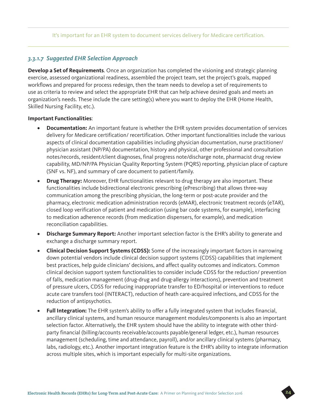#### It's important for an EHR system to document services delivery for Medicare certification.

#### *3.3.1.7 Suggested EHR Selection Approach*

**Develop a Set of Requirements**. Once an organization has completed the visioning and strategic planning exercise, assessed organizational readiness, assembled the project team, set the project's goals, mapped workflows and prepared for process redesign, then the team needs to develop a set of requirements to use as criteria to review and select the appropriate EHR that can help achieve desired goals and meets an organization's needs. These include the care setting(s) where you want to deploy the EHR (Home Health, Skilled Nursing Facility, etc.).

#### **Important Functionalities**:

- **Documentation:** An important feature is whether the EHR system provides documentation of services delivery for Medicare certification/ recertification. Other important functionalities include the various aspects of clinical documentation capabilities including physician documentation, nurse practitioner/ physician assistant (NP/PA) documentation, history and physical, other professional and consultation notes/records, resident/client diagnoses, final progress note/discharge note, pharmacist drug review capability, MD/NP/PA Physician Quality Reporting System (PQRS) reporting, physician place of capture (SNF vs. NF), and summary of care document to patient/family.
- **Drug Therapy:** Moreover, EHR functionalities relevant to drug therapy are also important. These functionalities include bidirectional electronic prescribing (ePrescribing) that allows three-way communication among the prescribing physician, the long-term or post-acute provider and the pharmacy, electronic medication administration records (eMAR), electronic treatment records (eTAR), closed loop verification of patient and medication (using bar code systems, for example), interfacing to medication adherence records (from medication dispensers, for example), and medication reconciliation capabilities.
- **Discharge Summary Report:** Another important selection factor is the EHR's ability to generate and exchange a discharge summary report.
- **Clinical Decision Support Systems (CDSS):** Some of the increasingly important factors in narrowing down potential vendors include clinical decision support systems (CDSS) capabilities that implement best practices, help guide clinicians' decisions, and affect quality outcomes and indicators. Common clinical decision support system functionalities to consider include CDSS for the reduction/ prevention of falls, medication management (drug-drug and drug-allergy interactions), prevention and treatment of pressure ulcers, CDSS for reducing inappropriate transfer to ED/hospital or interventions to reduce acute care transfers tool (INTERACT), reduction of heath care-acquired infections, and CDSS for the reduction of antipsychotics.
- **Full Integration:** The EHR system's ability to offer a fully integrated system that includes financial, ancillary clinical systems, and human resource management modules/components is also an important selection factor. Alternatively, the EHR system should have the ability to integrate with other thirdparty financial (billing/accounts receivable/accounts payable/general ledger, etc.), human resources management (scheduling, time and attendance, payroll), and/or ancillary clinical systems (pharmacy, labs, radiology, etc.). Another important integration feature is the EHR's ability to integrate information across multiple sites, which is important especially for multi-site organizations.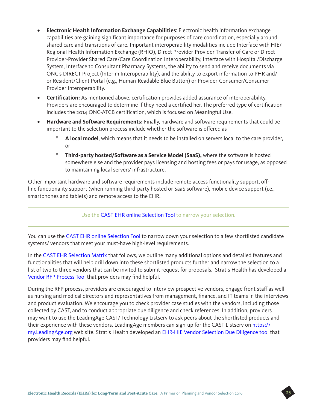- **Electronic Health Information Exchange Capabilities**: Electronic health information exchange capabilities are gaining significant importance for purposes of care coordination, especially around shared care and transitions of care. Important interoperability modalities include Interface with HIE/ Regional Health Information Exchange (RHIO), Direct Provider-Provider Transfer of Care or Direct Provider-Provider Shared Care/Care Coordination Interoperability, Interface with Hospital/Discharge System, Interface to Consultant Pharmacy Systems, the ability to send and receive documents via ONC's DIRECT Project (Interim Interoperability), and the ability to export information to PHR and/ or Resident/Client Portal (e.g., Human-Readable Blue Button) or Provider-Consumer/Consumer-Provider Interoperability.
- **Certification:** As mentioned above, certification provides added assurance of interoperability. Providers are encouraged to determine if they need a certified her. The preferred type of certification includes the 2014 ONC-ATCB certification, which is focused on Meaningful Use.
- **Hardware and Software Requirements:** Finally, hardware and software requirements that could be important to the selection process include whether the software is offered as
	- A local model, which means that it needs to be installed on servers local to the care provider, or
	- º **Third-party hosted/Software as a Service Model (SaaS),** where the software is hosted somewhere else and the provider pays licensing and hosting fees or pays for usage, as opposed to maintaining local servers' infrastructure.

Other important hardware and software requirements include remote access functionality support, offline functionality support (when running third-party hosted or SaaS software), mobile device support (i.e., smartphones and tablets) and remote access to the EHR.

#### Use the [CAST EHR online Selection Tool](http://www.leadingage.org/ehr/search.aspx) to narrow your selection.

You can use the [CAST EHR online Selection Tool](http://www.leadingage.org/ehr/search.aspx) to narrow down your selection to a few shortlisted candidate systems/ vendors that meet your must-have high-level requirements.

In the [CAST EHR Selection Matrix](http://www.leadingage.org/uploadedFiles/Content/Centers/CAST/Technology_Selection_Tools/EHR_Matrix.pdf) that follows, we outline many additional options and detailed features and functionalities that will help drill down into these shortlisted products further and narrow the selection to a list of two to three vendors that can be invited to submit request for proposals. Stratis Health has developed a [Vendor RFP Process Tool](http://www.stratishealth.org/documents/healthit/nursinghomes/3.Select/3-soliciting-bids-for-EHR-and-HIE-RFI-RFB-RFP.doc) that providers may find helpful.

During the RFP process, providers are encouraged to interview prospective vendors, engage front staff as well as nursing and medical directors and representatives from management, finance, and IT teams in the interviews and product evaluation. We encourage you to check provider case studies with the vendors, including those collected by CAST, and to conduct appropriate due diligence and check references. In addition, providers may want to use the LeadingAge CAST/ Technology Listserv to ask peers about the shortlisted products and their experience with these vendors. LeadingAge members can sign-up for the CAST Listserv on [https://](https://my.LeadingAge.org) [my.LeadingAge.org](https://my.LeadingAge.org) web site. Stratis Health developed an [EHR-HIE Vendor Selection Due Diligence tool](http://www.stratishealth.org/documents/healthit/nursinghomes/3.Select/3-EHR-HIE-vendor-selection-due-diligence.doc) that providers may find helpful.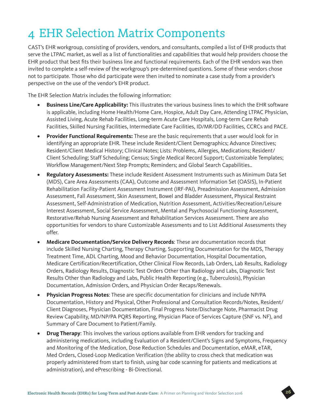## 4 EHR Selection Matrix Components

CAST's EHR workgroup, consisting of providers, vendors, and consultants, compiled a list of EHR products that serve the LTPAC market, as well as a list of functionalities and capabilities that would help providers choose the EHR product that best fits their business line and functional requirements. Each of the EHR vendors was then invited to complete a self-review of the workgroup's pre-determined questions. Some of these vendors chose not to participate. Those who did participate were then invited to nominate a case study from a provider's perspective on the use of the vendor's EHR product.

The EHR Selection Matrix includes the following information:

- **Business Line/Care Applicability:** This illustrates the various business lines to which the EHR software is applicable, including Home Health/Home Care, Hospice, Adult Day Care, Attending LTPAC Physician, Assisted Living, Acute Rehab Facilities, Long-term Acute Care Hospitals, Long-term Care Rehab Facilities, Skilled Nursing Facilities, Intermediate Care Facilities, ID/MR/DD Facilities, CCRCs and PACE.
- **Provider Functional Requirements:** These are the basic requirements that a user would look for in identifying an appropriate EHR. These include Resident/Client Demographics; Advance Directives; Resident/Client Medical History; Clinical Notes; Lists: Problems, Allergies, Medications; Resident/ Client Scheduling; Staff Scheduling; Census; Single Medical Record Support; Customizable Templates; Workflow Management/Next Step Prompts; Reminders; and Global Search Capabilities..
- **Regulatory Assessments:** These include Resident Assessment Instruments such as Minimum Data Set (MDS), Care Area Assessments (CAA), Outcome and Assessment Information Set (OASIS), In-Patient Rehabilitation Facility-Patient Assessment Instrument (IRF-PAI), Preadmission Assessment, Admission Assessment, Fall Assessment, Skin Assessment, Bowel and Bladder Assessment, Physical Restraint Assessment, Self-Administration of Medication, Nutrition Assessment, Activities/Recreation/Leisure Interest Assessment, Social Service Assessment, Mental and Psychosocial Functioning Assessment, Restorative/Rehab Nursing Assessment and Rehabilitation Services Assessment. There are also opportunities for vendors to share Customizable Assessments and to List Additional Assessments they offer.
- **Medicare Documentation/Service Delivery Records**: These are documentation records that include Skilled Nursing Charting, Therapy Charting, Supporting Documentation for the MDS, Therapy Treatment Time, ADL Charting, Mood and Behavior Documentation, Hospital Documentation, Medicare Certification/Recertification, Other Clinical Flow Records, Lab Orders, Lab Results, Radiology Orders, Radiology Results, Diagnostic Test Orders Other than Radiology and Labs, Diagnostic Test Results Other than Radiology and Labs, Public Health Reporting (e.g., Tuberculosis), Physician Documentation, Admission Orders, and Physician Order Recaps/Renewals.
- **Physician Progress Notes**: These are specific documentation for clinicians and include NP/PA Documentation, History and Physical, Other Professional and Consultation Records/Notes, Resident/ Client Diagnoses, Physician Documentation, Final Progress Note/Discharge Note, Pharmacist Drug Review Capability, MD/NP/PA PQRS Reporting, Physician Place of Services Capture (SNF vs. NF), and Summary of Care Document to Patient/Family.
- **Drug Therapy**: This involves the various options available from EHR vendors for tracking and administering medications, including Evaluation of a Resident/Client's Signs and Symptoms, Frequency and Monitoring of the Medication, Dose Reduction Schedules and Documentation, eMAR, eTAR, Med Orders, Closed-Loop Medication Verification (the ability to cross check that medication was properly administered from start to finish, using bar code scanning for patients and medications at administration), and ePrescribing - Bi-Directional.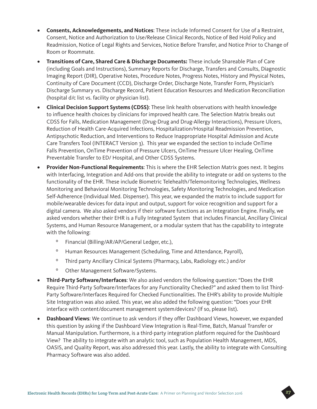- **Consents, Acknowledgements, and Notices**: These include Informed Consent for Use of a Restraint, Consent, Notice and Authorization to Use/Release Clinical Records, Notice of Bed Hold Policy and Readmission, Notice of Legal Rights and Services, Notice Before Transfer, and Notice Prior to Change of Room or Roommate.
- **Transitions of Care, Shared Care & Discharge Documents:** These include Shareable Plan of Care (including Goals and Instructions), Summary Reports for Discharge, Transfers and Consults, Diagnostic Imaging Report (DIR), Operative Notes, Procedure Notes, Progress Notes, History and Physical Notes, Continuity of Care Document (CCD), Discharge Order, Discharge Note, Transfer Form, Physician's Discharge Summary vs. Discharge Record, Patient Education Resources and Medication Reconciliation (hospital d/c list vs. facility or physician list).
- **Clinical Decision Support Systems (CDSS)**: These link health observations with health knowledge to influence health choices by clinicians for improved health care. The Selection Matrix breaks out CDSS for Falls, Medication Management (Drug-Drug and Drug-Allergy Interactions), Pressure Ulcers, Reduction of Health Care-Acquired Infections, Hospitalization/Hospital Readmission Prevention, Antipsychotic Reduction, and Interventions to Reduce Inappropriate Hospital Admission and Acute Care Transfers Tool (INTERACT Version 3). This year we expanded the section to include OnTime Falls Prevention, OnTime Prevention of Pressure Ulcers, OnTime Pressure Ulcer Healing, OnTime Preventable Transfer to ED/ Hospital, and Other CDSS Systems.
- **Provider Non-Functional Requirements**: This is where the EHR Selection Matrix goes next. It begins with Interfacing, Integration and Add-ons that provide the ability to integrate or add on systems to the functionality of the EHR. These include Biometric Telehealth/Telemonitoring Technologies, Wellness Monitoring and Behavioral Monitoring Technologies, Safety Monitoring Technologies, and Medication Self-Adherence (Individual Med. Dispenser). This year, we expanded the matrix to include support for mobile/wearable devices for data input and output, support for voice recognition and support for a digital camera. We also asked vendors if their software functions as an Integration Engine. Finally, we asked vendors whether their EHR is a Fully Integrated System that includes Financial, Ancillary Clinical Systems, and Human Resource Management, or a modular system that has the capability to integrate with the following:
	- º Financial (Billing/AR/AP/General Ledger, etc.),
	- º Human Resources Management (Scheduling, Time and Attendance, Payroll),
	- º Third party Ancillary Clinical Systems (Pharmacy, Labs, Radiology etc.) and/or
	- º Other Management Software/Systems.
- **Third-Party Software/Interfaces**: We also asked vendors the following question: "Does the EHR Require Third-Party Software/Interfaces for any Functionality Checked?" and asked them to list Third-Party Software/Interfaces Required for Checked Functionalities. The EHR's ability to provide Multiple Site Integration was also asked. This year, we also added the following question: "Does your EHR interface with content/document management system/devices? (If so, please list).
- **Dashboard Views**: We continue to ask vendors if they offer Dashboard Views, however, we expanded this question by asking if the Dashboard View Integration is Real-Time, Batch, Manual Transfer or Manual Manipulation. Furthermore, is a third-party integration platform required for the Dashboard View? The ability to integrate with an analytic tool, such as Population Health Management, MDS, OASIS, and Quality Report, was also addressed this year. Lastly, the ability to integrate with Consulting Pharmacy Software was also added.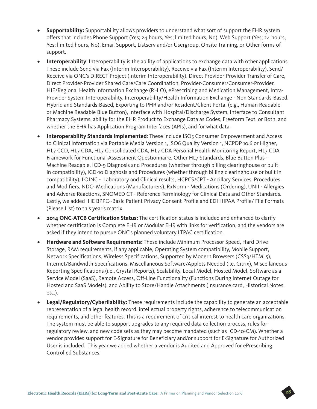- **Supportability:** Supportability allows providers to understand what sort of support the EHR system offers that includes Phone Support (Yes; 24 hours, Yes; limited hours, No), Web Support (Yes; 24 hours, Yes; limited hours, No), Email Support, Listserv and/or Usergroup, Onsite Training, or Other forms of support.
- **Interoperability**: Interoperability is the ability of applications to exchange data with other applications. These include Send via Fax (Interim Interoperability), Receive via Fax (Interim Interoperability), Send/ Receive via ONC's DIRECT Project (Interim Interoperability), Direct Provider-Provider Transfer of Care, Direct Provider-Provider Shared Care/Care Coordination, Provider-Consumer/Consumer-Provider, HIE/Regional Health Information Exchange (RHIO), ePrescribing and Medication Management, Intra-Provider System Interoperability, Interoperability/Health Information Exchange - Non-Standards-Based, Hybrid and Standards-Based, Exporting to PHR and/or Resident/Client Portal (e.g., Human Readable or Machine Readable Blue Button), Interface with Hospital/Discharge System, Interface to Consultant Pharmacy Systems, ability for the EHR Product to Exchange Data as Codes, Freeform Text, or Both, and whether the EHR has Application Program Interfaces (APIs), and for what data.
- **Interoperability Standards Implemented**: These include ISO5 Consumer Empowerment and Access to Clinical Information via Portable Media Version 1, ISO6 Quality Version 1, NCPDP 10.6 or Higher, HL7 CCD, HL7 CDA, HL7 Consolidated CDA, HL7 CDA Personal Health Monitoring Report, HL7 CDA Framework for Functional Assessment Questionnaire, Other HL7 Standards, Blue Button Plus - Machine Readable, ICD-9 Diagnosis and Procedures (whether through billing clearinghouse or built in compatibility), ICD-10 Diagnosis and Procedures (whether through billing clearinghouse or built in compatibility), LOINC - Laboratory and Clinical results, HCPCS/CPT - Ancillary Services, Procedures and Modifiers, NDC- Medications (Manufacturers), RxNorm - Medications (Ordering), UNII - Allergies and Adverse Reactions, SNOMED CT - Reference Terminology for Clinical Data and Other Standards. Lastly, we added IHE BPPC--Basic Patient Privacy Consent Profile and EDI HIPAA Profile/ File Formats (Please List) to this year's matrix.
- **2014 ONC-ATCB Certification Status:** The certification status is included and enhanced to clarify whether certification is Complete EHR or Modular EHR with links for verification, and the vendors are asked if they intend to pursue ONC's planned voluntary LTPAC certification.
- **Hardware and Software Requirements:** These include Minimum Processor Speed, Hard Drive Storage, RAM requirements, if any applicable, Operating System compatibility, Mobile Support, Network Specifications, Wireless Specifications, Supported by Modern Browsers (CSS3/HTML5), Internet/Bandwidth Specifications, Miscellaneous Software/Applets Needed (i.e. Citrix), Miscellaneous Reporting Specifications (i.e., Crystal Reports), Scalability, Local Model, Hosted Model, Software as a Service Model (SaaS), Remote Access, Off-Line Functionality (Functions During Internet Outage for Hosted and SaaS Models), and Ability to Store/Handle Attachments (Insurance card, Historical Notes, etc.).
- **Legal/Regulatory/Cyberliability:** These requirements include the capability to generate an acceptable representation of a legal health record, intellectual property rights, adherence to telecommunication requirements, and other features. This is a requirement of critical interest to health care organizations. The system must be able to support upgrades to any required data collection process, rules for regulatory review, and new code sets as they may become mandated (such as ICD-10-CM). Whether a vendor provides support for E-Signature for Beneficiary and/or support for E-Signature for Authorized User is included. This year we added whether a vendor is Audited and Approved for ePrescribing Controlled Substances.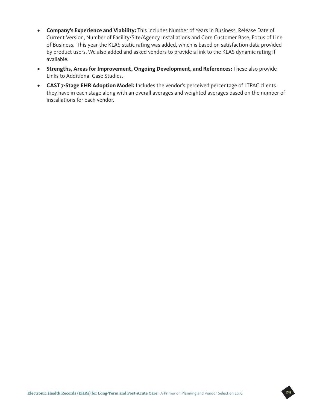- **Company's Experience and Viability:** This includes Number of Years in Business, Release Date of Current Version, Number of Facility/Site/Agency Installations and Core Customer Base, Focus of Line of Business. This year the KLAS static rating was added, which is based on satisfaction data provided by product users. We also added and asked vendors to provide a link to the KLAS dynamic rating if available.
- **Strengths, Areas for Improvement, Ongoing Development, and References:** These also provide Links to Additional Case Studies.
- **CAST 7-Stage EHR Adoption Model:** Includes the vendor's perceived percentage of LTPAC clients they have in each stage along with an overall averages and weighted averages based on the number of installations for each vendor.

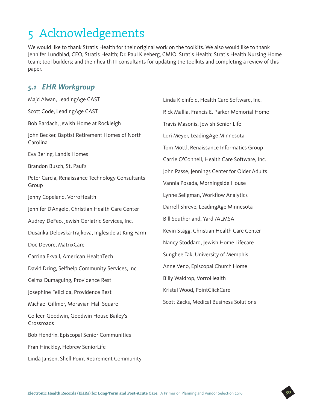## 5 Acknowledgements

We would like to thank Stratis Health for their original work on the toolkits. We also would like to thank Jennifer Lundblad, CEO, Stratis Health; Dr. Paul Kleeberg, CMIO, Stratis Health; Stratis Health Nursing Home team; tool builders; and their health IT consultants for updating the toolkits and completing a review of this paper.

### *5.1 EHR Workgroup*

| Majd Alwan, LeadingAge CAST                                | Linda Kleinf              |
|------------------------------------------------------------|---------------------------|
| Scott Code, LeadingAge CAST                                | Rick Mallia,              |
| Bob Bardach, Jewish Home at Rockleigh                      | <b>Travis Masc</b>        |
| John Becker, Baptist Retirement Homes of North<br>Carolina | Lori Meyer,               |
| Eva Bering, Landis Homes                                   | Tom Mottl,<br>Carrie O'Co |
| Brandon Busch, St. Paul's                                  | John Passe,               |
| Peter Carcia, Renaissance Technology Consultants<br>Group  | Vannia Posa               |
| Jenny Copeland, VorroHealth                                | Lynne Selig               |
| Jennifer D'Angelo, Christian Health Care Center            | Darrell Shre              |
| Audrey DeFeo, Jewish Geriatric Services, Inc.              | <b>Bill Souther</b>       |
| Dusanka Delovska-Trajkova, Ingleside at King Farm          | Kevin Stagg               |
| Doc Devore, MatrixCare                                     | Nancy Stod                |
| Carrina Ekvall, American HealthTech                        | Sunghee Ta                |
| David Dring, Selfhelp Community Services, Inc.             | Anne Veno,                |
| Celma Dumaguing, Providence Rest                           | <b>Billy Waldro</b>       |
| Josephine Felicilda, Providence Rest                       | Kristal Woo               |
| Michael Gillmer, Moravian Hall Square                      | Scott Zacks               |
| Colleen Goodwin, Goodwin House Bailey's<br>Crossroads      |                           |
| Bob Hendrix, Episcopal Senior Communities                  |                           |
| Fran Hinckley, Hebrew SeniorLife                           |                           |
| Linda Jansen, Shell Point Retirement Community             |                           |
|                                                            |                           |

feld, Health Care Software, Inc. Francis F. Parker Memorial Home onis, Jewish Senior Life LeadingAge Minnesota Renaissance Informatics Group Innell, Health Care Software, Inc. Jennings Center for Older Adults ada, Morningside House man, Workflow Analytics eve, LeadingAge Minnesota land, Yardi/ALMSA , Christian Health Care Center Idard, Jewish Home Lifecare k, University of Memphis Episcopal Church Home bp, VorroHealth d, PointClickCare , Medical Business Solutions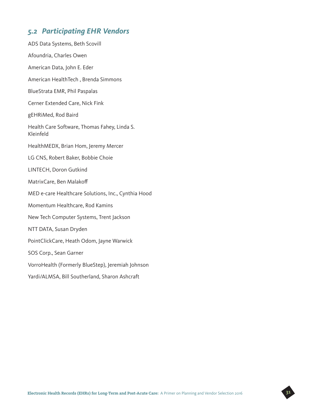### *5.2 Participating EHR Vendors*

ADS Data Systems, Beth Scovill Afoundria, Charles Owen American Data, John E. Eder American HealthTech , Brenda Simmons BlueStrata EMR, Phil Paspalas Cerner Extended Care, Nick Fink gEHRiMed, Rod Baird Health Care Software, Thomas Fahey, Linda S. Kleinfeld HealthMEDX, Brian Hom, Jeremy Mercer LG CNS, Robert Baker, Bobbie Choie LINTECH, Doron Gutkind MatrixCare, Ben Malakoff MED e-care Healthcare Solutions, Inc., Cynthia Hood Momentum Healthcare, Rod Kamins New Tech Computer Systems, Trent Jackson NTT DATA, Susan Dryden PointClickCare, Heath Odom, Jayne Warwick SOS Corp., Sean Garner VorroHealth (Formerly BlueStep), Jeremiah Johnson Yardi/ALMSA, Bill Southerland, Sharon Ashcraft